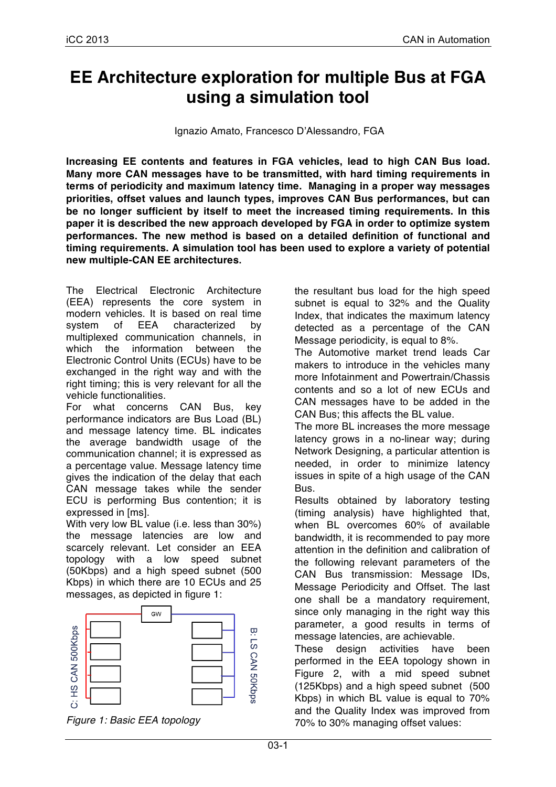# **EE Architecture exploration for multiple Bus at FGA using a simulation tool**

Ignazio Amato, Francesco D'Alessandro, FGA

**Increasing EE contents and features in FGA vehicles, lead to high CAN Bus load. Many more CAN messages have to be transmitted, with hard timing requirements in terms of periodicity and maximum latency time. Managing in a proper way messages priorities, offset values and launch types, improves CAN Bus performances, but can be no longer sufficient by itself to meet the increased timing requirements. In this paper it is described the new approach developed by FGA in order to optimize system performances. The new method is based on a detailed definition of functional and timing requirements. A simulation tool has been used to explore a variety of potential new multiple-CAN EE architectures.**

The Electrical Electronic Architecture (EEA) represents the core system in modern vehicles. It is based on real time system of EEA characterized by multiplexed communication channels, in which the information between the Electronic Control Units (ECUs) have to be exchanged in the right way and with the right timing; this is very relevant for all the vehicle functionalities.

For what concerns CAN Bus, key performance indicators are Bus Load (BL) and message latency time. BL indicates the average bandwidth usage of the communication channel; it is expressed as a percentage value. Message latency time gives the indication of the delay that each CAN message takes while the sender ECU is performing Bus contention; it is expressed in [ms].

With very low BL value (i.e. less than 30%) the message latencies are low and scarcely relevant. Let consider an EEA topology with a low speed subnet (50Kbps) and a high speed subnet (500 Kbps) in which there are 10 ECUs and 25 messages, as depicted in figure 1:



*Figure 1: Basic EEA topology*

the resultant bus load for the high speed subnet is equal to 32% and the Quality Index, that indicates the maximum latency detected as a percentage of the CAN Message periodicity, is equal to 8%.

The Automotive market trend leads Car makers to introduce in the vehicles many more Infotainment and Powertrain/Chassis contents and so a lot of new ECUs and CAN messages have to be added in the CAN Bus; this affects the BL value.

The more BL increases the more message latency grows in a no-linear way; during Network Designing, a particular attention is needed, in order to minimize latency issues in spite of a high usage of the CAN Bus.

Results obtained by laboratory testing (timing analysis) have highlighted that, when BL overcomes 60% of available bandwidth, it is recommended to pay more attention in the definition and calibration of the following relevant parameters of the CAN Bus transmission: Message IDs, Message Periodicity and Offset. The last one shall be a mandatory requirement, since only managing in the right way this parameter, a good results in terms of message latencies, are achievable.

These design activities have been performed in the EEA topology shown in Figure 2, with a mid speed subnet (125Kbps) and a high speed subnet (500 Kbps) in which BL value is equal to 70% and the Quality Index was improved from 70% to 30% managing offset values: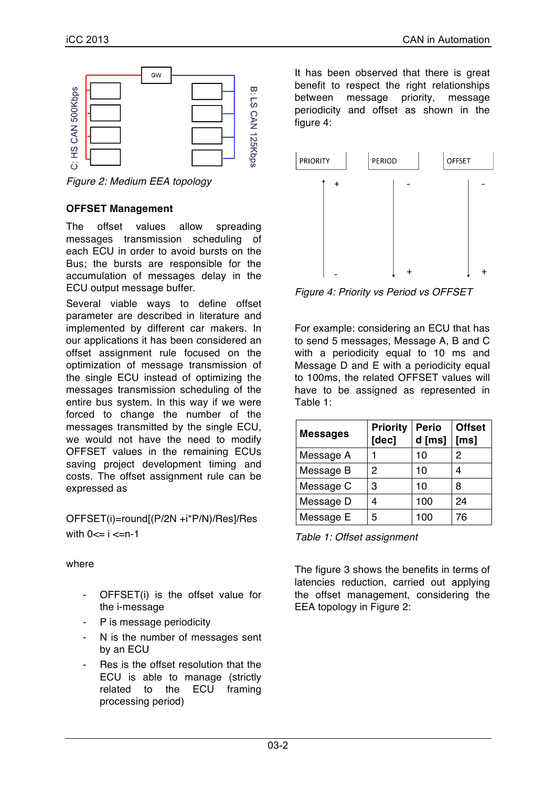

*Figure 2: Medium EEA topology*

#### **OFFSET Management**

The offset values allow spreading messages transmission scheduling of each ECU in order to avoid bursts on the Bus; the bursts are responsible for the accumulation of messages delay in the ECU output message buffer.

Several viable ways to define offset parameter are described in literature and implemented by different car makers. In our applications it has been considered an offset assignment rule focused on the optimization of message transmission of the single ECU instead of optimizing the messages transmission scheduling of the entire bus system. In this way if we were forced to change the number of the messages transmitted by the single ECU, we would not have the need to modify OFFSET values in the remaining ECUs saving project development timing and costs. The offset assignment rule can be expressed as

OFFSET(i)=round[(P/2N +i\*P/N)/Res]/Res with  $0 \le i \le n-1$ 

where

- OFFSET(i) is the offset value for the i-message
- P is message periodicity
- N is the number of messages sent by an ECU
- Res is the offset resolution that the ECU is able to manage (strictly related to the ECU framing processing period)

It has been observed that there is great benefit to respect the right relationships between message priority, message periodicity and offset as shown in the figure 4:



*Figure 4: Priority vs Period vs OFFSET*

For example: considering an ECU that has to send 5 messages, Message A, B and C with a periodicity equal to 10 ms and Message D and E with a periodicity equal to 100ms, the related OFFSET values will have to be assigned as represented in Table 1:

| <b>Messages</b> | <b>Priority</b><br>[dec] | <b>Perio</b><br>d [ms] | <b>Offset</b><br>[ms] |
|-----------------|--------------------------|------------------------|-----------------------|
| Message A       |                          | 10                     | 2                     |
| Message B       | 2                        | 10                     |                       |
| Message C       | 3                        | 10                     | 8                     |
| Message D       | 4                        | 100                    | 24                    |
| Message E       | 5                        | 100                    | 76                    |

*Table 1: Offset assignment*

The figure 3 shows the benefits in terms of latencies reduction, carried out applying the offset management, considering the EEA topology in Figure 2: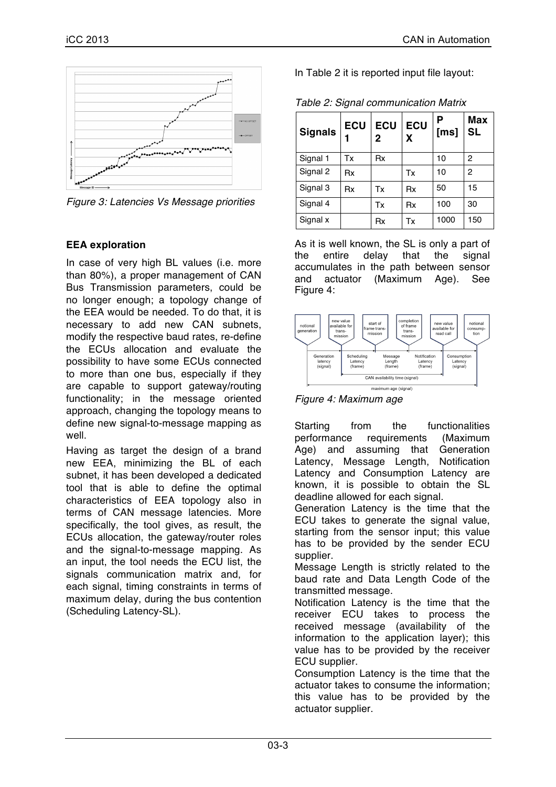

*Figure 3: Latencies Vs Message priorities*

### **EEA exploration**

In case of very high BL values (i.e. more than 80%), a proper management of CAN Bus Transmission parameters, could be no longer enough; a topology change of the EEA would be needed. To do that, it is necessary to add new CAN subnets, modify the respective baud rates, re-define the ECUs allocation and evaluate the possibility to have some ECUs connected to more than one bus, especially if they are capable to support gateway/routing functionality; in the message oriented approach, changing the topology means to define new signal-to-message mapping as well.

Having as target the design of a brand new EEA, minimizing the BL of each subnet, it has been developed a dedicated tool that is able to define the optimal characteristics of EEA topology also in terms of CAN message latencies. More specifically, the tool gives, as result, the ECUs allocation, the gateway/router roles and the signal-to-message mapping. As an input, the tool needs the ECU list, the signals communication matrix and, for each signal, timing constraints in terms of maximum delay, during the bus contention (Scheduling Latency-SL).

In Table 2 it is reported input file layout:

| <b>Signals</b> | <b>ECU</b> | <b>ECU</b><br>2 | <b>ECU</b><br>X | Ρ<br>[ms] | <b>Max</b><br><b>SL</b> |
|----------------|------------|-----------------|-----------------|-----------|-------------------------|
| Signal 1       | Тx         | Rx              |                 | 10        | 2                       |
| Signal 2       | Rx         |                 | Tx              | 10        | 2                       |
| Signal 3       | Rx         | Tx              | Rx              | 50        | 15                      |
| Signal 4       |            | Tx              | Rx              | 100       | 30                      |
| Signal x       |            | Rx              | Тx              | 1000      | 150                     |

*Table 2: Signal communication Matrix*

As it is well known, the SL is only a part of the entire delay that the signal accumulates in the path between sensor and actuator (Maximum Age). See Figure 4:



*Figure 4: Maximum age*

Starting from the functionalities performance requirements (Maximum Age) and assuming that Generation Latency, Message Length, Notification Latency and Consumption Latency are known, it is possible to obtain the SL deadline allowed for each signal.

Generation Latency is the time that the ECU takes to generate the signal value, starting from the sensor input; this value has to be provided by the sender ECU supplier.

Message Length is strictly related to the baud rate and Data Length Code of the transmitted message.

Notification Latency is the time that the receiver ECU takes to process the received message (availability of the information to the application layer); this value has to be provided by the receiver ECU supplier.

Consumption Latency is the time that the actuator takes to consume the information; this value has to be provided by the actuator supplier.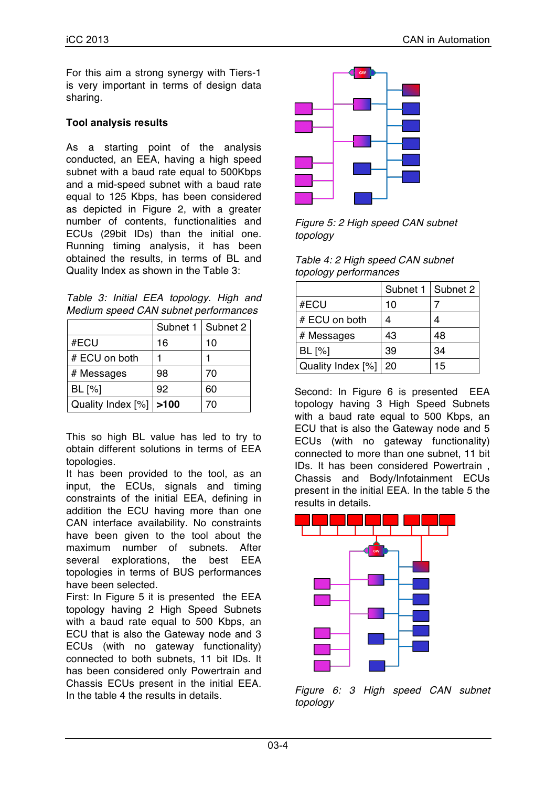For this aim a strong synergy with Tiers-1 is very important in terms of design data sharing.

# **Tool analysis results**

As a starting point of the analysis conducted, an EEA, having a high speed subnet with a baud rate equal to 500Kbps and a mid-speed subnet with a baud rate equal to 125 Kbps, has been considered as depicted in Figure 2, with a greater number of contents, functionalities and ECUs (29bit IDs) than the initial one. Running timing analysis, it has been obtained the results, in terms of BL and Quality Index as shown in the Table 3:

*Table 3: Initial EEA topology. High and Medium speed CAN subnet performances*

|                   | Subnet 1 | Subnet 2 |
|-------------------|----------|----------|
| #ECU              | 16       | 10       |
| # ECU on both     |          |          |
| # Messages        | 98       | 70       |
| BL [%]            | 92       | 60       |
| Quality Index [%] | >100     | 70       |

This so high BL value has led to try to obtain different solutions in terms of EEA topologies.

It has been provided to the tool, as an input, the ECUs, signals and timing constraints of the initial EEA, defining in addition the ECU having more than one CAN interface availability. No constraints have been given to the tool about the maximum number of subnets. After several explorations, the best EEA topologies in terms of BUS performances have been selected.

First: In Figure 5 it is presented the EEA topology having 2 High Speed Subnets with a baud rate equal to 500 Kbps, an ECU that is also the Gateway node and 3 ECUs (with no gateway functionality) connected to both subnets, 11 bit IDs. It has been considered only Powertrain and Chassis ECUs present in the initial EEA. In the table 4 the results in details.



*Figure 5: 2 High speed CAN subnet topology*

| Table 4: 2 High speed CAN subnet |  |
|----------------------------------|--|
| topology performances            |  |

|                   |    | Subnet 1   Subnet 2 |
|-------------------|----|---------------------|
| #ECU              | 10 |                     |
| # ECU on both     |    | 4                   |
| # Messages        | 43 | 48                  |
| BL [%]            | 39 | 34                  |
| Quality Index [%] | 20 | 15                  |

Second: In Figure 6 is presented EEA topology having 3 High Speed Subnets with a baud rate equal to 500 Kbps, an ECU that is also the Gateway node and 5 ECUs (with no gateway functionality) connected to more than one subnet, 11 bit IDs. It has been considered Powertrain , Chassis and Body/Infotainment ECUs present in the initial EEA. In the table 5 the results in details.



*Figure 6: 3 High speed CAN subnet topology*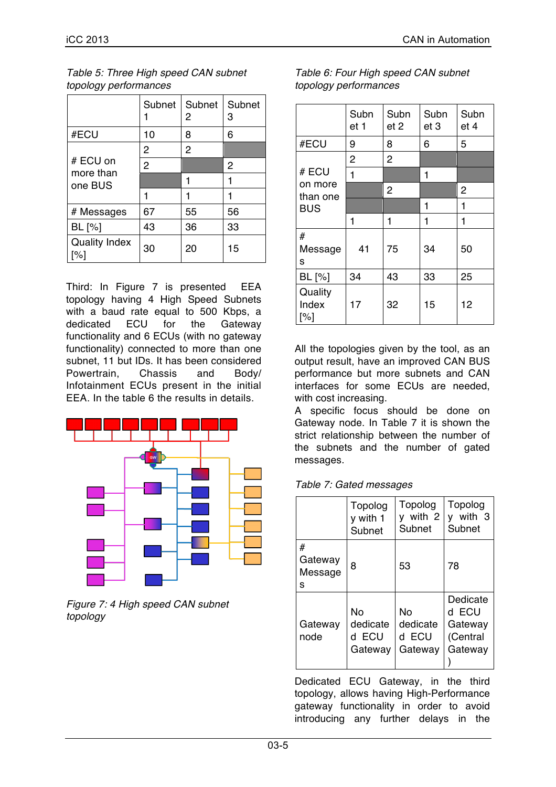|                                  | Subnet         | Subnet<br>2 | Subnet<br>3 |
|----------------------------------|----------------|-------------|-------------|
| #ECU                             | 10             | 8           | 6           |
|                                  | 2              | 2           |             |
| # ECU on<br>more than<br>one BUS | $\overline{2}$ |             | 2           |
|                                  |                | 1           |             |
|                                  |                |             |             |
| # Messages                       | 67             | 55          | 56          |
| BL [%]                           | 43             | 36          | 33          |
| <b>Quality Index</b><br>'%]      | 30             | 20          | 15          |

*Table 5: Three High speed CAN subnet topology performances*

Third: In Figure 7 is presented EEA topology having 4 High Speed Subnets with a baud rate equal to 500 Kbps, a dedicated ECU for the Gateway functionality and 6 ECUs (with no gateway functionality) connected to more than one subnet, 11 but IDs. It has been considered Powertrain, Chassis and Body/ Infotainment ECUs present in the initial EEA. In the table 6 the results in details.



*Figure 7: 4 High speed CAN subnet topology*

| Table 6: Four High speed CAN subnet |  |
|-------------------------------------|--|
| topology performances               |  |

|                         | Subn<br>et 1   | Subn<br>et 2   | Subn<br>et 3 | Subn<br>et 4 |
|-------------------------|----------------|----------------|--------------|--------------|
| #ECU                    | 9              | 8              | 6            | 5            |
|                         | $\overline{2}$ | $\overline{2}$ |              |              |
| # ECU                   | 1              |                | 1            |              |
| on more<br>than one     |                | 2              |              | 2            |
| <b>BUS</b>              |                |                | 1            | 1            |
|                         | 1              | 1              | 1            | 1            |
| #<br>Message<br>s       | 41             | 75             | 34           | 50           |
| BL [%]                  | 34             | 43             | 33           | 25           |
| Quality<br>Index<br>[%] | 17             | 32             | 15           | 12           |

All the topologies given by the tool, as an output result, have an improved CAN BUS performance but more subnets and CAN interfaces for some ECUs are needed, with cost increasing.

A specific focus should be done on Gateway node. In Table 7 it is shown the strict relationship between the number of the subnets and the number of gated messages.

| Table 7: Gated messages |  |
|-------------------------|--|
|-------------------------|--|

|                              | Topolog<br>y with 1<br>Subnet         | Topolog<br>y with 2<br>Subnet      | Topolog<br>y with 3<br>Subnet                       |
|------------------------------|---------------------------------------|------------------------------------|-----------------------------------------------------|
| #<br>Gateway<br>Message<br>s | 8                                     | 53                                 | 78                                                  |
| Gateway<br>node              | Nο<br>dedicate<br>ECU<br>d<br>Gateway | No<br>dedicate<br>d ECU<br>Gateway | Dedicate<br>d ECU<br>Gateway<br>(Central<br>Gateway |

Dedicated ECU Gateway, in the third topology, allows having High-Performance gateway functionality in order to avoid introducing any further delays in the